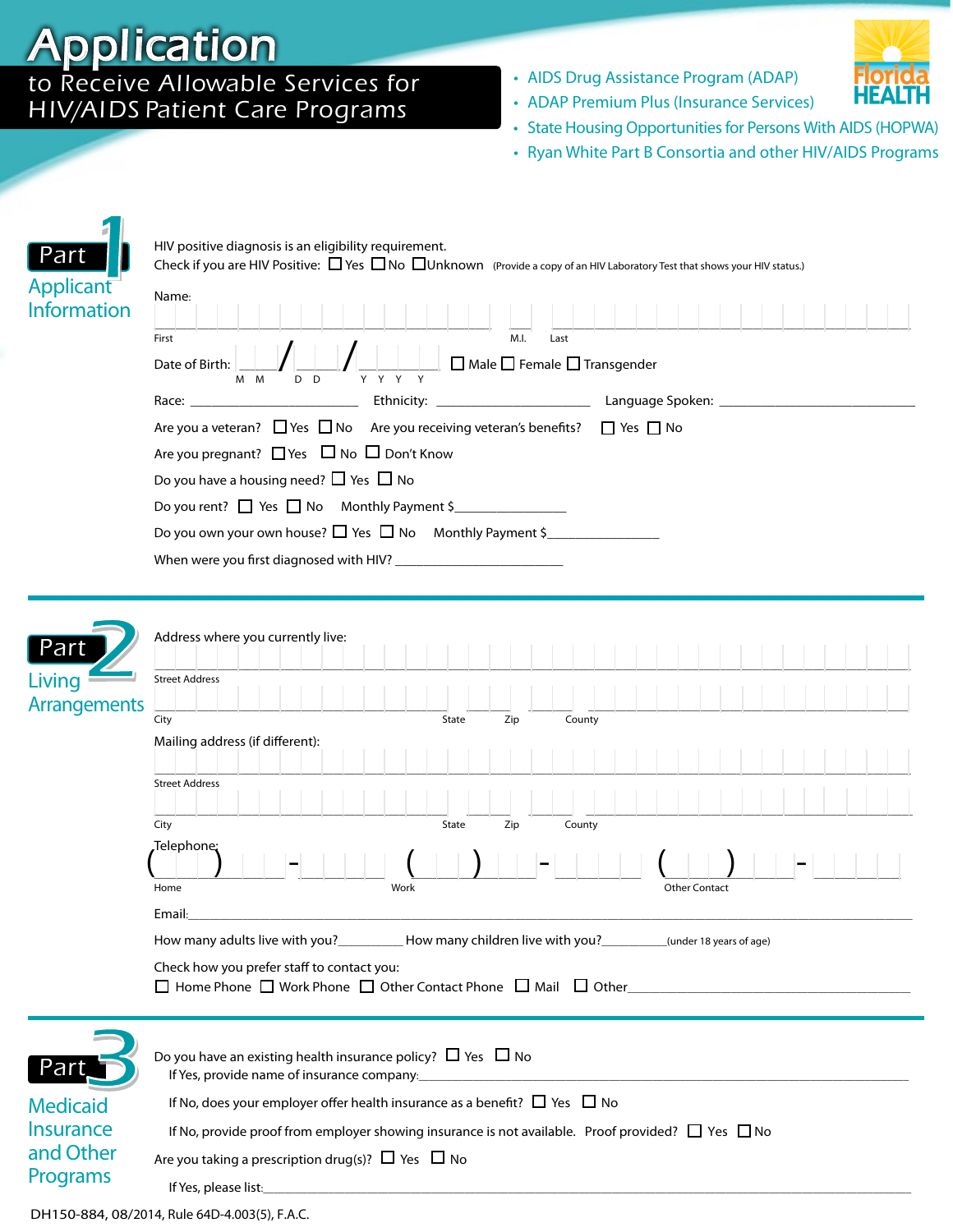## Application

## to Receive Allowable Services for H IV/AI DS Patient Care Programs

• AIDS Drug Assistance Program (ADAP)



- ADAP Premium Plus (Insurance Services)
- State Housing Opportunities for Persons With AIDS (HOPWA)
- Ryan White Part B Consortia and other HIV/AIDS Programs

| <u>Part</u><br>Applicant<br><b>Information</b>                              | HIV positive diagnosis is an eligibility requirement.<br>Check if you are HIV Positive: $\Box$ Yes $\Box$ No $\Box$ Unknown (Provide a copy of an HIV Laboratory Test that shows your HIV status.)<br>Name:<br>M.I.<br>First<br>Last<br>$\square$ Male $\square$ Female $\square$ Transgender<br>Date of Birth:<br>Y Y Y Y<br>D D<br>M M<br>Are you a veteran? □ Yes □ No Are you receiving veteran's benefits? □ Yes □ No<br>Are you pregnant? □ Yes □ No □ Don't Know<br>Do you have a housing need? $\Box$ Yes $\Box$ No<br>Do you rent? □ Yes □ No Monthly Payment \$<br>Do you own your own house? $\Box$ Yes $\Box$ No Monthly Payment \$ |
|-----------------------------------------------------------------------------|-------------------------------------------------------------------------------------------------------------------------------------------------------------------------------------------------------------------------------------------------------------------------------------------------------------------------------------------------------------------------------------------------------------------------------------------------------------------------------------------------------------------------------------------------------------------------------------------------------------------------------------------------|
| Part<br>Living<br><b>Arrangements</b>                                       | Address where you currently live:<br><b>Street Address</b><br>City<br>Zip<br>State<br>County<br>Mailing address (if different):<br><b>Street Address</b><br>City<br>County<br>State<br>Zip<br>,Telephone;<br>Work<br><b>Other Contact</b><br>Home<br>Email:<br>How many adults live with you?_____________How many children live with you?____________(under 18 years of age)<br>Check how you prefer staff to contact you:                                                                                                                                                                                                                     |
| <u>Part</u><br><b>Medicaid</b><br><b>Insurance</b><br>and Other<br>Programs | Do you have an existing health insurance policy? $\Box$ Yes $\Box$ No<br>If Yes, provide name of insurance company:<br>If No, does your employer offer health insurance as a benefit? $\Box$ Yes $\Box$ No<br>If No, provide proof from employer showing insurance is not available. Proof provided? $\Box$ Yes $\Box$ No<br>Are you taking a prescription drug(s)? $\Box$ Yes $\Box$ No<br>If Yes, please list: <u>the contract of the contract of the contract of the contract of the contract of the contract of</u>                                                                                                                         |